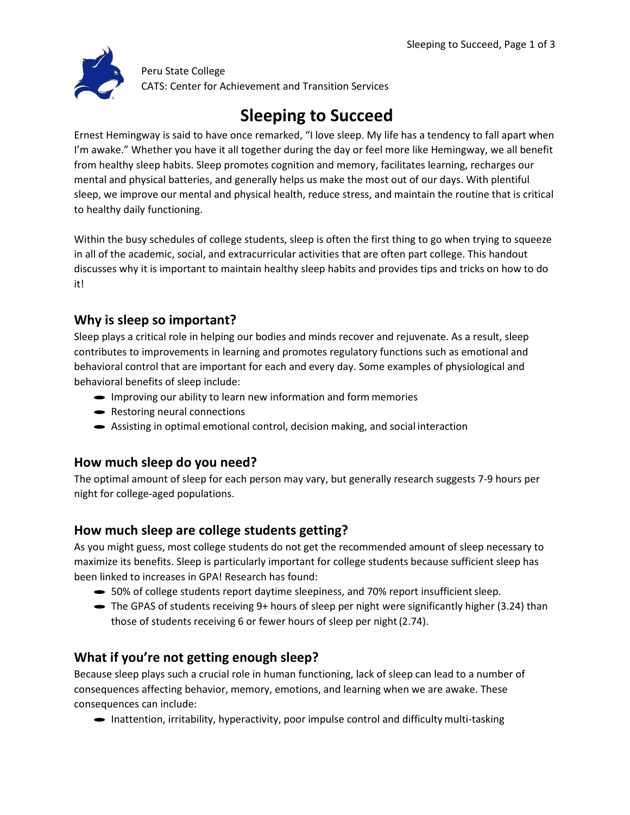

Peru State College CATS: Center for Achievement and Transition Services

# **Sleeping to Succeed**

Ernest Hemingway is said to have once remarked, "I love sleep. My life has a tendency to fall apart when I'm awake." Whether you have it all together during the day or feel more like Hemingway, we all benefit from healthy sleep habits. Sleep promotes cognition and memory, facilitates learning, recharges our mental and physical batteries, and generally helps us make the most out of our days. With plentiful sleep, we improve our mental and physical health, reduce stress, and maintain the routine that is critical to healthy daily functioning.

Within the busy schedules of college students, sleep is often the first thing to go when trying to squeeze in all of the academic, social, and extracurricular activities that are often part college. This handout discusses why it is important to maintain healthy sleep habits and provides tips and tricks on how to do it!

# **Why is sleep so important?**

Sleep plays a critical role in helping our bodies and minds recover and rejuvenate. As a result, sleep contributes to improvements in learning and promotes regulatory functions such as emotional and behavioral control that are important for each and every day. Some examples of physiological and behavioral benefits of sleep include:

- · Improving our ability to learn new information and form memories
- Restoring neural connections
- · Assisting in optimal emotional control, decision making, and social interaction

## **How much sleep do you need?**

The optimal amount of sleep for each person may vary, but generally research suggests 7-9 hours per night for college-aged populations.

## **How much sleep are college students getting?**

As you might guess, most college students do not get the recommended amount of sleep necessary to maximize its benefits. Sleep is particularly important for college students because sufficient sleep has been linked to increases in GPA! Research has found:

- 50% of college students report daytime sleepiness, and 70% report insufficient sleep.
- The GPAS of students receiving 9+ hours of sleep per night were significantly higher (3.24) than those of students receiving 6 or fewer hours of sleep per night(2.74).

# **What if you're not getting enough sleep?**

Because sleep plays such a crucial role in human functioning, lack of sleep can lead to a number of consequences affecting behavior, memory, emotions, and learning when we are awake. These consequences can include:

• Inattention, irritability, hyperactivity, poor impulse control and difficulty multi-tasking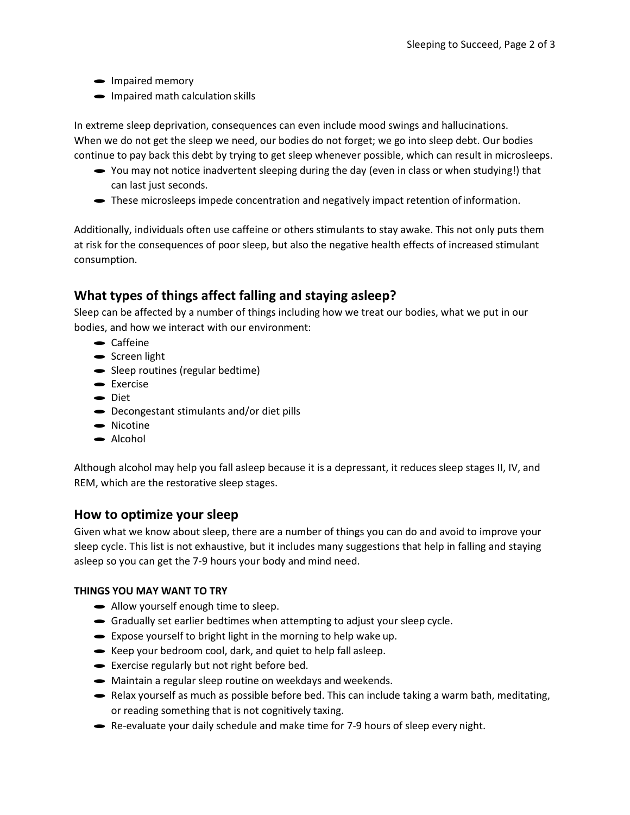- Impaired memory
- Impaired math calculation skills

In extreme sleep deprivation, consequences can even include mood swings and hallucinations. When we do not get the sleep we need, our bodies do not forget; we go into sleep debt. Our bodies continue to pay back this debt by trying to get sleep whenever possible, which can result in microsleeps.

- · You may not notice inadvertent sleeping during the day (even in class or when studying!) that can last just seconds.
- These microsleeps impede concentration and negatively impact retention of information.

Additionally, individuals often use caffeine or others stimulants to stay awake. This not only puts them at risk for the consequences of poor sleep, but also the negative health effects of increased stimulant consumption.

## **What types of things affect falling and staying asleep?**

Sleep can be affected by a number of things including how we treat our bodies, what we put in our bodies, and how we interact with our environment:<br>
<br>
Gaffeine

- 
- Caffeine<br>• Screen light
- Screen light<br>• Sleep routines (regular bedtime)
- $\bullet$  Sleep ro<br> $\bullet$  Exercise • Exercise<br>• Diet
- 
- Diet<br>• Decongestant stimulants and/or diet pills
- Deconge<br>• Nicotine • Nicotine<br>• Alcohol
- 

Although alcohol may help you fall asleep because it is a depressant, it reduces sleep stages II, IV, and REM, which are the restorative sleep stages.

## **How to optimize your sleep**

Given what we know about sleep, there are a number of things you can do and avoid to improve your sleep cycle. This list is not exhaustive, but it includes many suggestions that help in falling and staying asleep so you can get the 7-9 hours your body and mind need.

#### **THINGS YOU MAY WANT TO TRY**

- · Allow yourself enough time to sleep.
- · Gradually set earlier bedtimes when attempting to adjust your sleep cycle.
- · Expose yourself to bright light in the morning to help wake up.
- Expose yourself to bright light in the morning to help wake u<br>• Keep your bedroom cool, dark, and quiet to help fall asleep.
- Keep your bedroom cool, dark, and quiet to<br>• Exercise regularly but not right before bed.
- Exercise regularly but not right before bed.<br>• Maintain a regular sleep routine on weekdays and weekends.
- Relax yourself as much as possible before bed. This can include taking a warm bath, meditating, or reading something that is not cognitively taxing.
- Re-evaluate your daily schedule and make time for 7-9 hours of sleep every night.